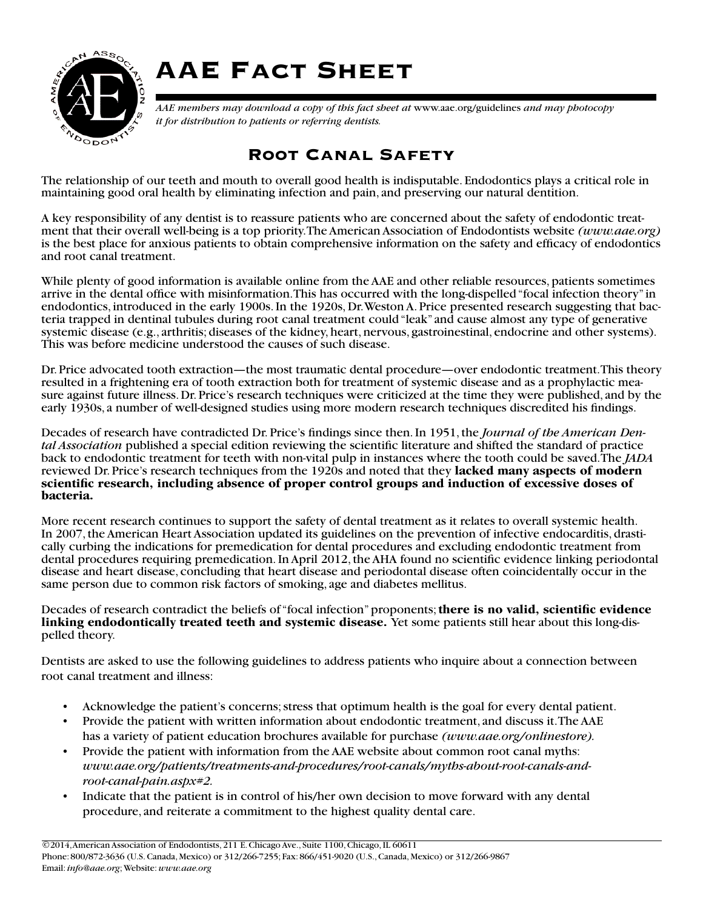

## AAE Fact Sheet

*AAE members may download a copy of this fact sheet at* www.aae.org/guidelines *and may photocopy it for distribution to patients or referring dentists.*

## Root Canal Safety

The relationship of our teeth and mouth to overall good health is indisputable. Endodontics plays a critical role in maintaining good oral health by eliminating infection and pain, and preserving our natural dentition.

A key responsibility of any dentist is to reassure patients who are concerned about the safety of endodontic treatment that their overall well-being is a top priority. The American Association of Endodontists [website](http://www.aae.org) *[\(www.aae.org\)](http://www.aae.org)* is the best place for anxious patients to obtain comprehensive information on the safety and efficacy of endodontics and root canal treatment.

While plenty of good information is available online from the AAE and other reliable resources, patients sometimes arrive in the dental office with misinformation. This has occurred with the long-dispelled "focal infection theory" in endodontics, introduced in the early 1900s. In the 1920s, Dr. Weston A. Price presented research suggesting that bacteria trapped in dentinal tubules during root canal treatment could "leak" and cause almost any type of generative systemic disease (e.g., arthritis; diseases of the kidney, heart, nervous, gastroinestinal, endocrine and other systems). This was before medicine understood the causes of such disease.

Dr. Price advocated tooth extraction—the most traumatic dental procedure—over endodontic treatment. This theory resulted in a frightening era of tooth extraction both for treatment of systemic disease and as a prophylactic measure against future illness. Dr. Price's research techniques were criticized at the time they were published, and by the early 1930s, a number of well-designed studies using more modern research techniques discredited his findings.

Decades of research have contradicted Dr. Price's findings since then. In 1951, the *Journal of the American Dental Association* published a special edition reviewing the scientific literature and shifted the standard of practice back to endodontic treatment for teeth with non-vital pulp in instances where the tooth could be saved. The *JADA* reviewed Dr. Price's research techniques from the 1920s and noted that they **lacked many aspects of modern scientific research, including absence of proper control groups and induction of excessive doses of bacteria.**

More recent research continues to support the safety of dental treatment as it relates to overall systemic health.<br>In 2007, the American Heart Association updated its guidelines on the prevention of infective endocarditis, cally curbing the indications for premedication for dental procedures and excluding endodontic treatment from dental procedures requiring premedication. In April 2012, the AHA found no scientific evidence linking periodontal disease and heart disease, concluding that heart disease and periodontal disease often coincidentally occur in the same person due to common risk factors of smoking, age and diabetes mellitus.

Decades of research contradict the beliefs of "focal infection" proponents; **there is no valid, scientific evidence linking endodontically treated teeth and systemic disease.** Yet some patients still hear about this long-dispelled theory.

Dentists are asked to use the following guidelines to address patients who inquire about a connection between root canal treatment and illness:

- Acknowledge the patient's concerns; stress that optimum health is the goal for every dental patient.
- Provide the patient with written information about endodontic treatment, and discuss it. The AAE has a variety of patient education brochures available for [purchase](http://www.aae.org/onlinestore) *[\(www.aae.org/onlinestore\).](http://www.aae.org/onlinestore)*
- Provide the patient with information from the AAE website about common root canal myths: *[www.aae.org/patients/treatments-and-procedures/root-canals/myths-about-root-canals-and](http://www.aae.org/patients/treatments-and-procedures/root-canals/myths-about-root-canals-and-root-canal-pain.aspx#2)[root-canal-pain.aspx#2.](http://www.aae.org/patients/treatments-and-procedures/root-canals/myths-about-root-canals-and-root-canal-pain.aspx#2)*
- Indicate that the patient is in control of his/her own decision to move forward with any dental procedure, and reiterate a commitment to the highest quality dental care.